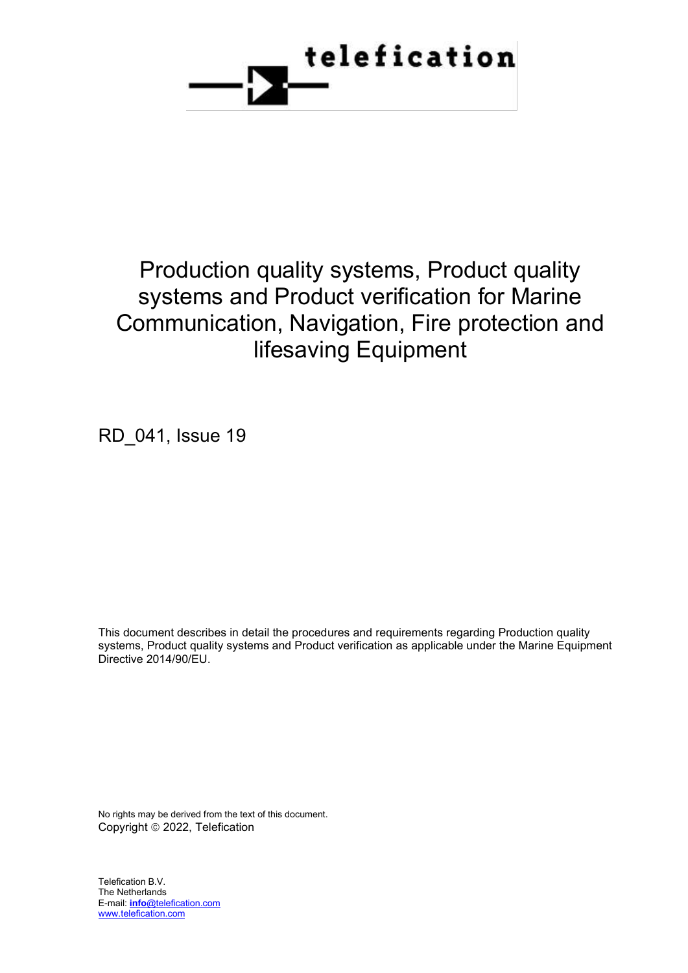

# Production quality systems, Product quality systems and Product verification for Marine Communication, Navigation, Fire protection and lifesaving Equipment

RD\_041, Issue 19

This document describes in detail the procedures and requirements regarding Production quality systems, Product quality systems and Product verification as applicable under the Marine Equipment Directive 2014/90/EU.

No rights may be derived from the text of this document. Copyright © 2022, Telefication

Telefication B.V. The Netherlands E-mail: **info**@telefication.com [www.telefication.com](http://www.telefication.com/)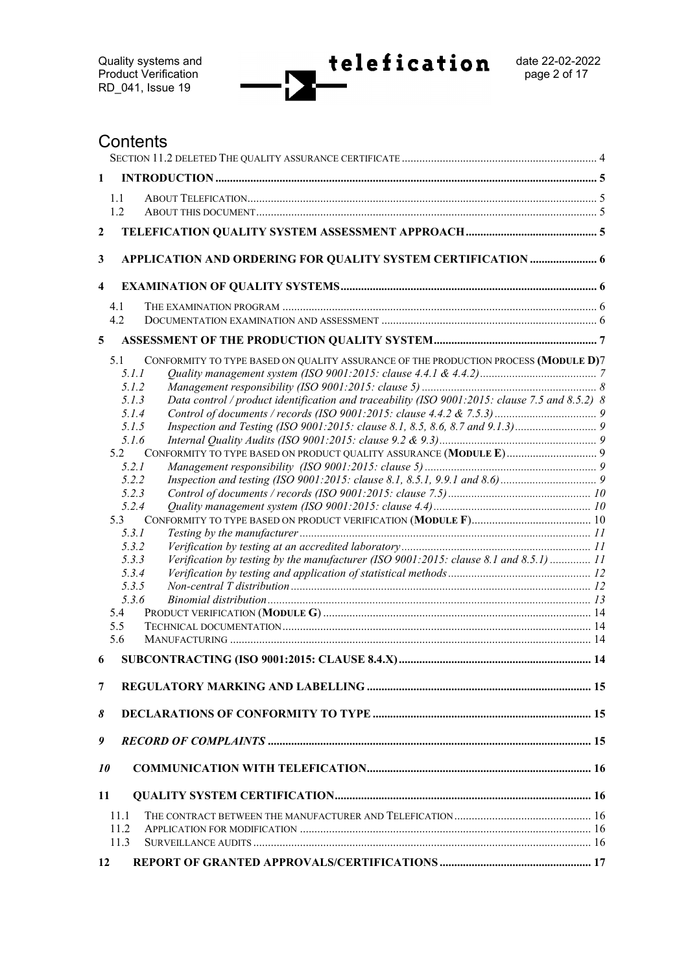# **Contents**

| $\mathbf{1}$            |                                                                                                                                                                                                                                                                                                                                                                                                                                                                          |  |
|-------------------------|--------------------------------------------------------------------------------------------------------------------------------------------------------------------------------------------------------------------------------------------------------------------------------------------------------------------------------------------------------------------------------------------------------------------------------------------------------------------------|--|
|                         | 1.1                                                                                                                                                                                                                                                                                                                                                                                                                                                                      |  |
|                         | 1.2                                                                                                                                                                                                                                                                                                                                                                                                                                                                      |  |
| 2                       |                                                                                                                                                                                                                                                                                                                                                                                                                                                                          |  |
|                         |                                                                                                                                                                                                                                                                                                                                                                                                                                                                          |  |
| 3                       | APPLICATION AND ORDERING FOR QUALITY SYSTEM CERTIFICATION  6                                                                                                                                                                                                                                                                                                                                                                                                             |  |
| $\overline{\mathbf{4}}$ |                                                                                                                                                                                                                                                                                                                                                                                                                                                                          |  |
|                         | 4.1                                                                                                                                                                                                                                                                                                                                                                                                                                                                      |  |
|                         | 4.2                                                                                                                                                                                                                                                                                                                                                                                                                                                                      |  |
| 5                       |                                                                                                                                                                                                                                                                                                                                                                                                                                                                          |  |
|                         | CONFORMITY TO TYPE BASED ON QUALITY ASSURANCE OF THE PRODUCTION PROCESS (MODULE D)7<br>5.1<br>5.1.1<br>5.1.2<br>Data control / product identification and traceability (ISO 9001:2015: clause 7.5 and 8.5.2) 8<br>5.1.3<br>5.1.4<br>5.1.5<br>5.1.6<br>5.2<br>5.2.1<br>5.2.2<br>5.2.3<br>5.2.4<br>5.3<br>5.3.1<br>5.3.2<br>Verification by testing by the manufacturer (ISO 9001:2015: clause 8.1 and 8.5.1)  11<br>5.3.3<br>5.3.4<br>5.3.5<br>5.3.6<br>5.4<br>5.5<br>5.6 |  |
| 6                       |                                                                                                                                                                                                                                                                                                                                                                                                                                                                          |  |
| 7                       |                                                                                                                                                                                                                                                                                                                                                                                                                                                                          |  |
| 8                       |                                                                                                                                                                                                                                                                                                                                                                                                                                                                          |  |
| 9                       |                                                                                                                                                                                                                                                                                                                                                                                                                                                                          |  |
| 10                      |                                                                                                                                                                                                                                                                                                                                                                                                                                                                          |  |
| 11                      |                                                                                                                                                                                                                                                                                                                                                                                                                                                                          |  |
|                         | 11.1                                                                                                                                                                                                                                                                                                                                                                                                                                                                     |  |
|                         | 11.2                                                                                                                                                                                                                                                                                                                                                                                                                                                                     |  |
|                         | 11.3                                                                                                                                                                                                                                                                                                                                                                                                                                                                     |  |
| <b>12</b>               |                                                                                                                                                                                                                                                                                                                                                                                                                                                                          |  |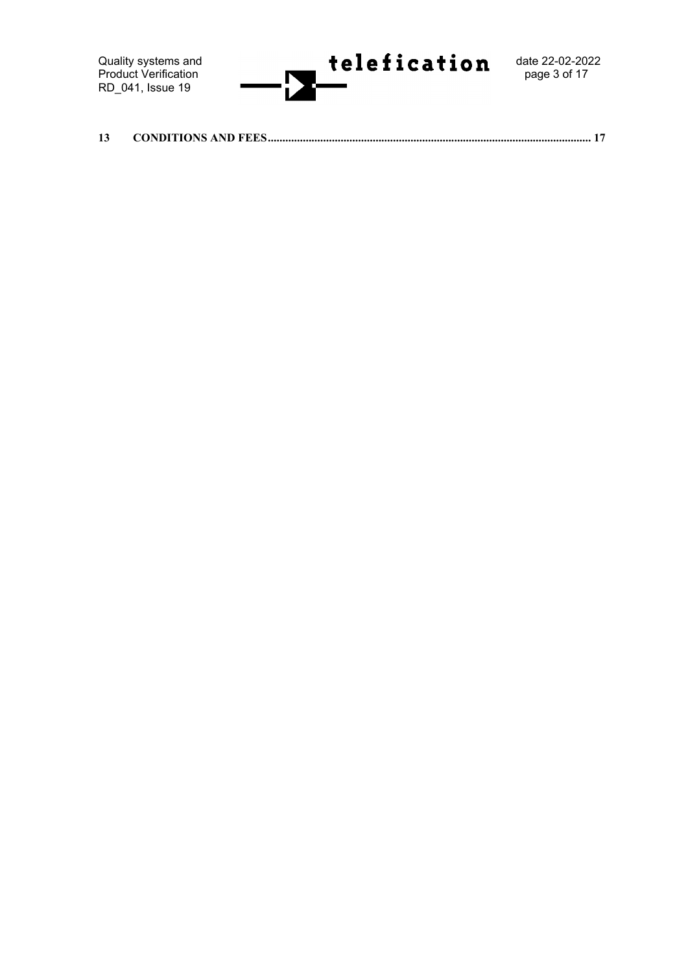Quality systems and<br>Product Verification RD\_041, Issue 19



**13 [CONDITIONS AND FEES...............................................................................................................](#page-16-1) 17**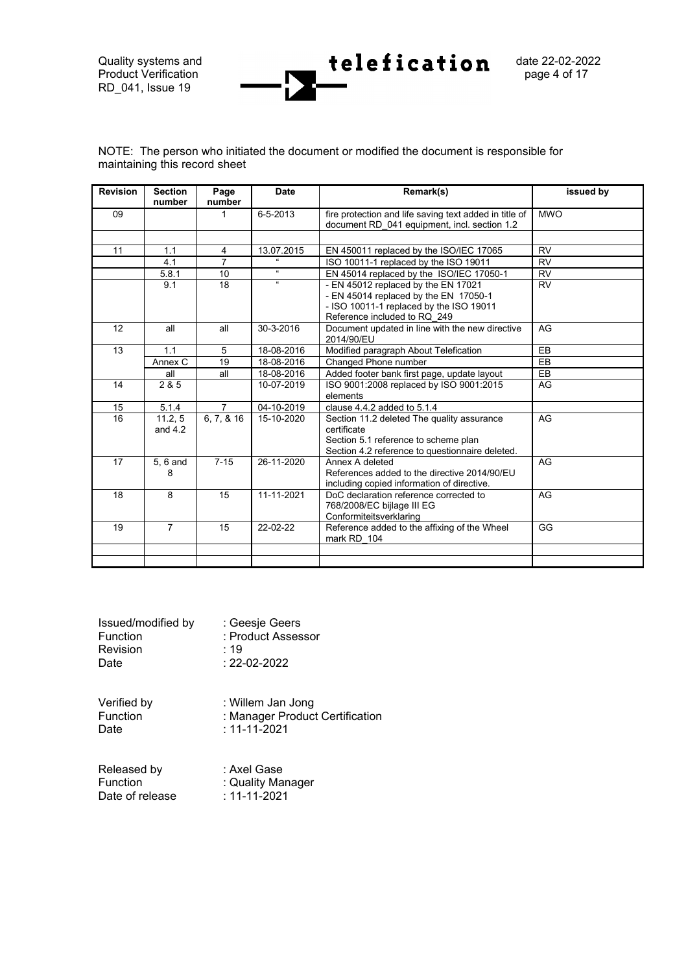$P_{\text{radial}}$  Product Verification RD\_041, Issue 19

Quality systems and  $\bullet$  **telefication** date 22-02-2022<br>Product Verification

|                               | NOTE: The person who initiated the document or modified the document is responsible for |  |  |
|-------------------------------|-----------------------------------------------------------------------------------------|--|--|
| maintaining this record sheet |                                                                                         |  |  |

| <b>Revision</b>     | <b>Section</b><br><b>Date</b><br>Page<br>Remark(s)<br>number<br>number |                                                                                                        | issued by                                                                                                     |                                                                                                                                                         |           |
|---------------------|------------------------------------------------------------------------|--------------------------------------------------------------------------------------------------------|---------------------------------------------------------------------------------------------------------------|---------------------------------------------------------------------------------------------------------------------------------------------------------|-----------|
| 6-5-2013<br>09<br>1 |                                                                        | fire protection and life saving text added in title of<br>document RD 041 equipment, incl. section 1.2 | <b>MWO</b>                                                                                                    |                                                                                                                                                         |           |
|                     |                                                                        |                                                                                                        |                                                                                                               |                                                                                                                                                         |           |
| 11                  | 1.1                                                                    | $\overline{4}$                                                                                         | 13.07.2015                                                                                                    | EN 450011 replaced by the ISO/IEC 17065                                                                                                                 | <b>RV</b> |
|                     | 4.1                                                                    | $\overline{7}$                                                                                         | $\alpha$                                                                                                      | ISO 10011-1 replaced by the ISO 19011                                                                                                                   | <b>RV</b> |
|                     | 5.8.1                                                                  | 10                                                                                                     | $\alpha$                                                                                                      | EN 45014 replaced by the ISO/IEC 17050-1                                                                                                                | <b>RV</b> |
|                     | 9.1                                                                    | 18                                                                                                     | ĸ                                                                                                             | - EN 45012 replaced by the EN 17021<br>- EN 45014 replaced by the EN 17050-1<br>- ISO 10011-1 replaced by the ISO 19011<br>Reference included to RQ 249 | <b>RV</b> |
| 12                  | all                                                                    | all                                                                                                    | 30-3-2016                                                                                                     | Document updated in line with the new directive<br>2014/90/EU                                                                                           | AG        |
| 13                  | 1.1                                                                    | 5                                                                                                      | 18-08-2016                                                                                                    | Modified paragraph About Telefication                                                                                                                   | EB        |
|                     | Annex C                                                                | 19                                                                                                     | 18-08-2016                                                                                                    | Changed Phone number                                                                                                                                    | EB        |
|                     | all                                                                    | all                                                                                                    | 18-08-2016                                                                                                    | Added footer bank first page, update layout                                                                                                             | EB        |
| 14                  | 2 & 5                                                                  | ISO 9001:2008 replaced by ISO 9001:2015<br>10-07-2019<br>elements                                      |                                                                                                               | AG                                                                                                                                                      |           |
| 15                  | 5.1.4                                                                  | $\overline{7}$                                                                                         | 04-10-2019                                                                                                    | clause 4.4.2 added to 5.1.4                                                                                                                             |           |
| 16                  | 11.2, 5<br>and $4.2$                                                   | $\overline{6}$ , 7, & 16                                                                               | 15-10-2020                                                                                                    | Section 11.2 deleted The quality assurance<br>certificate<br>Section 5.1 reference to scheme plan<br>Section 4.2 reference to questionnaire deleted.    | AG        |
| 17                  | $7 - 15$<br>26-11-2020<br>5, 6 and<br>Annex A deleted<br>8             |                                                                                                        | References added to the directive 2014/90/EU<br>including copied information of directive.                    | AG                                                                                                                                                      |           |
| 18                  | 8                                                                      | 15                                                                                                     | 11-11-2021<br>DoC declaration reference corrected to<br>768/2008/EC bijlage III EG<br>Conformiteitsverklaring |                                                                                                                                                         | AG        |
| 19                  | $\overline{7}$<br>15<br>22-02-22                                       |                                                                                                        |                                                                                                               | Reference added to the affixing of the Wheel<br>mark RD 104                                                                                             | GG        |
|                     |                                                                        |                                                                                                        |                                                                                                               |                                                                                                                                                         |           |
|                     |                                                                        |                                                                                                        |                                                                                                               |                                                                                                                                                         |           |

<span id="page-3-0"></span>

| Issued/modified by | : Geesje Geers     |
|--------------------|--------------------|
| <b>Function</b>    | : Product Assessor |
| Revision           | .19                |
| Date               | $: 22 - 02 - 2022$ |
|                    |                    |

Verified by : Willem Jan Jong<br>Function : Manager Product Function : Manager Product Certification<br>Date : 11-11-2021  $: 11 - 11 - 2021$ 

| Released by     | : Axel Gase        |
|-----------------|--------------------|
| <b>Function</b> | : Quality Manager  |
| Date of release | $: 11 - 11 - 2021$ |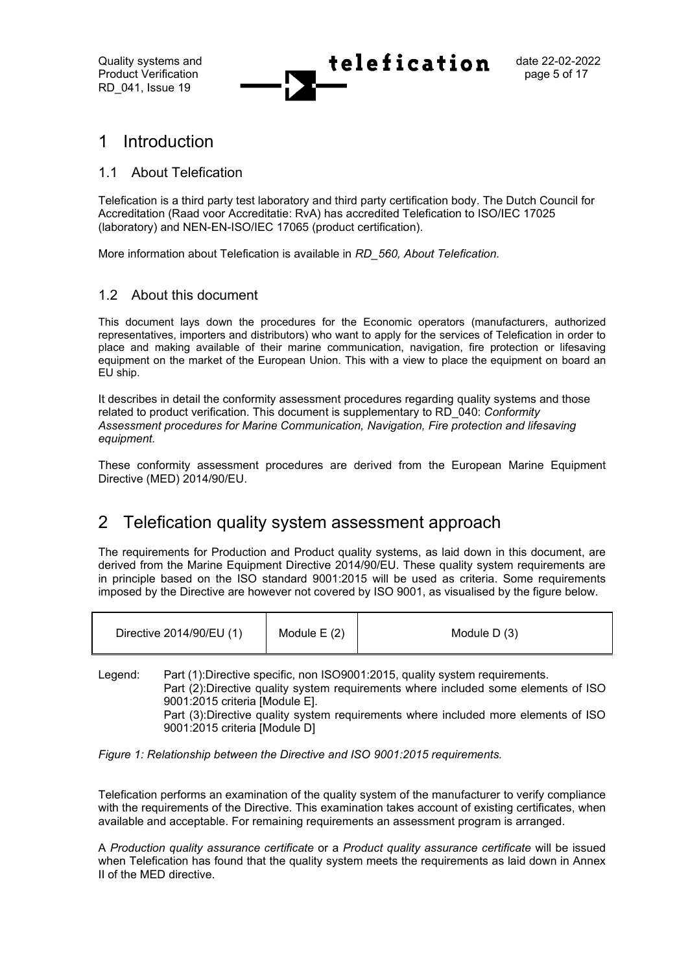Quality systems and  $\text{teleafication}$  date 22-02-2022 Product Verification **page 5 of 17**  $\bullet$  **page 5** of 17

# <span id="page-4-0"></span>1 Introduction

### <span id="page-4-1"></span>1.1 About Telefication

Telefication is a third party test laboratory and third party certification body. The Dutch Council for Accreditation (Raad voor Accreditatie: RvA) has accredited Telefication to ISO/IEC 17025 (laboratory) and NEN-EN-ISO/IEC 17065 (product certification).

More information about Telefication is available in *RD\_560, About Telefication.*

### <span id="page-4-2"></span>1.2 About this document

This document lays down the procedures for the Economic operators (manufacturers, authorized representatives, importers and distributors) who want to apply for the services of Telefication in order to place and making available of their marine communication, navigation, fire protection or lifesaving equipment on the market of the European Union. This with a view to place the equipment on board an EU ship.

It describes in detail the conformity assessment procedures regarding quality systems and those related to product verification. This document is supplementary to RD\_040: *Conformity Assessment procedures for Marine Communication, Navigation, Fire protection and lifesaving equipment.*

These conformity assessment procedures are derived from the European Marine Equipment Directive (MED) 2014/90/EU.

# <span id="page-4-3"></span>2 Telefication quality system assessment approach

The requirements for Production and Product quality systems, as laid down in this document, are derived from the Marine Equipment Directive 2014/90/EU. These quality system requirements are in principle based on the ISO standard 9001:2015 will be used as criteria. Some requirements imposed by the Directive are however not covered by ISO 9001, as visualised by the figure below.

| Directive 2014/90/EU (1) | Module $E(2)$ | Module $D(3)$ |
|--------------------------|---------------|---------------|
|--------------------------|---------------|---------------|

Legend: Part (1):Directive specific, non ISO9001:2015, quality system requirements. Part (2):Directive quality system requirements where included some elements of ISO 9001:2015 criteria [Module E]. Part (3):Directive quality system requirements where included more elements of ISO 9001:2015 criteria [Module D]

*Figure 1: Relationship between the Directive and ISO 9001:2015 requirements.*

Telefication performs an examination of the quality system of the manufacturer to verify compliance with the requirements of the Directive. This examination takes account of existing certificates, when available and acceptable. For remaining requirements an assessment program is arranged.

A *Production quality assurance certificate* or a *Product quality assurance certificate* will be issued when Telefication has found that the quality system meets the requirements as laid down in Annex II of the MED directive.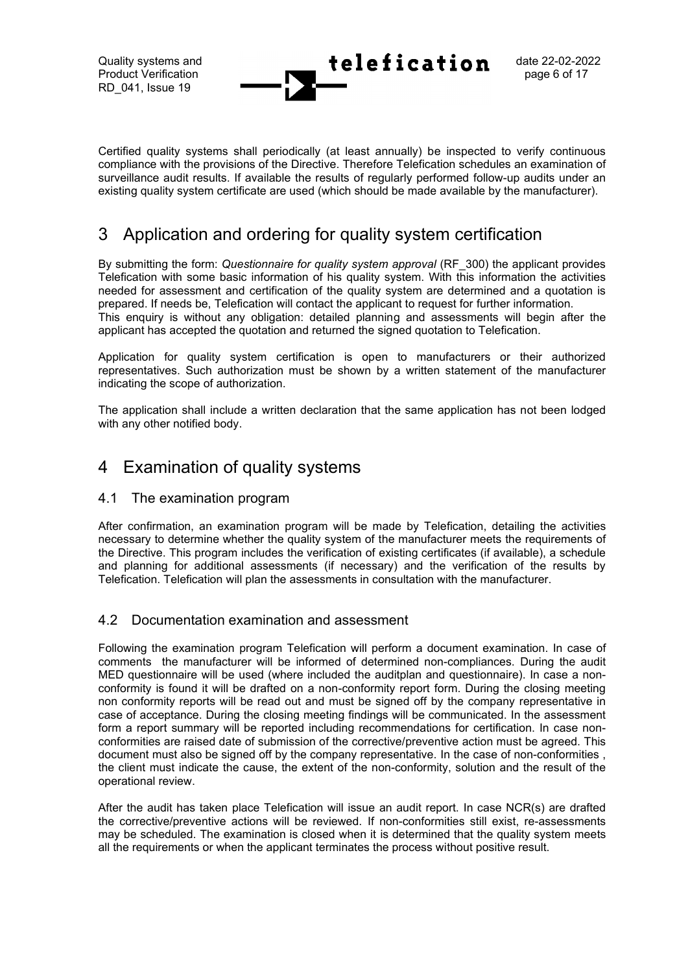Certified quality systems shall periodically (at least annually) be inspected to verify continuous compliance with the provisions of the Directive. Therefore Telefication schedules an examination of surveillance audit results. If available the results of regularly performed follow-up audits under an existing quality system certificate are used (which should be made available by the manufacturer).

# <span id="page-5-0"></span>3 Application and ordering for quality system certification

By submitting the form: *Questionnaire for quality system approval* (RF\_300) the applicant provides Telefication with some basic information of his quality system. With this information the activities needed for assessment and certification of the quality system are determined and a quotation is prepared. If needs be, Telefication will contact the applicant to request for further information. This enquiry is without any obligation: detailed planning and assessments will begin after the applicant has accepted the quotation and returned the signed quotation to Telefication.

Application for quality system certification is open to manufacturers or their authorized representatives. Such authorization must be shown by a written statement of the manufacturer indicating the scope of authorization.

The application shall include a written declaration that the same application has not been lodged with any other notified body.

# <span id="page-5-1"></span>4 Examination of quality systems

### <span id="page-5-2"></span>4.1 The examination program

After confirmation, an examination program will be made by Telefication, detailing the activities necessary to determine whether the quality system of the manufacturer meets the requirements of the Directive. This program includes the verification of existing certificates (if available), a schedule and planning for additional assessments (if necessary) and the verification of the results by Telefication. Telefication will plan the assessments in consultation with the manufacturer.

# <span id="page-5-3"></span>4.2 Documentation examination and assessment

Following the examination program Telefication will perform a document examination. In case of comments the manufacturer will be informed of determined non-compliances. During the audit MED questionnaire will be used (where included the auditplan and questionnaire). In case a nonconformity is found it will be drafted on a non-conformity report form. During the closing meeting non conformity reports will be read out and must be signed off by the company representative in case of acceptance. During the closing meeting findings will be communicated. In the assessment form a report summary will be reported including recommendations for certification. In case nonconformities are raised date of submission of the corrective/preventive action must be agreed. This document must also be signed off by the company representative. In the case of non-conformities , the client must indicate the cause, the extent of the non-conformity, solution and the result of the operational review.

After the audit has taken place Telefication will issue an audit report. In case NCR(s) are drafted the corrective/preventive actions will be reviewed. If non-conformities still exist, re-assessments may be scheduled. The examination is closed when it is determined that the quality system meets all the requirements or when the applicant terminates the process without positive result.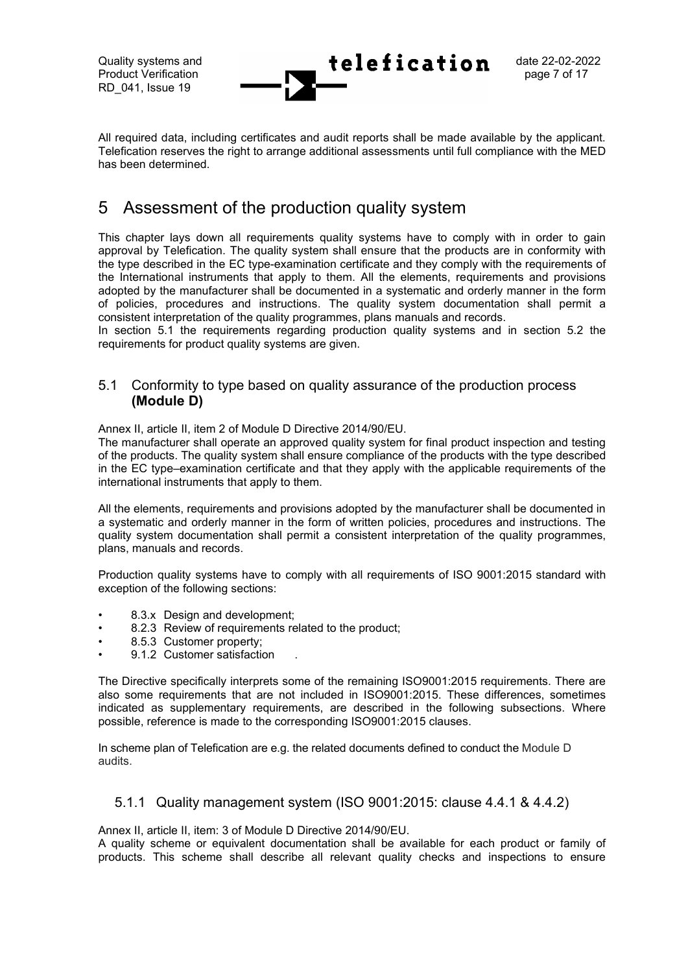All required data, including certificates and audit reports shall be made available by the applicant. Telefication reserves the right to arrange additional assessments until full compliance with the MED has been determined.

# <span id="page-6-0"></span>5 Assessment of the production quality system

This chapter lays down all requirements quality systems have to comply with in order to gain approval by Telefication. The quality system shall ensure that the products are in conformity with the type described in the EC type-examination certificate and they comply with the requirements of the International instruments that apply to them. All the elements, requirements and provisions adopted by the manufacturer shall be documented in a systematic and orderly manner in the form of policies, procedures and instructions. The quality system documentation shall permit a consistent interpretation of the quality programmes, plans manuals and records.

In section 5.1 the requirements regarding production quality systems and in section 5.2 the requirements for product quality systems are given.

### <span id="page-6-1"></span>5.1 Conformity to type based on quality assurance of the production process **(Module D)**

Annex II, article II, item 2 of Module D Directive 2014/90/EU.

The manufacturer shall operate an approved quality system for final product inspection and testing of the products. The quality system shall ensure compliance of the products with the type described in the EC type–examination certificate and that they apply with the applicable requirements of the international instruments that apply to them.

All the elements, requirements and provisions adopted by the manufacturer shall be documented in a systematic and orderly manner in the form of written policies, procedures and instructions. The quality system documentation shall permit a consistent interpretation of the quality programmes, plans, manuals and records.

Production quality systems have to comply with all requirements of ISO 9001:2015 standard with exception of the following sections:

- 8.3.x Design and development:
- 8.2.3 Review of requirements related to the product;
- 8.5.3 Customer property;
- 9.1.2 Customer satisfaction

The Directive specifically interprets some of the remaining ISO9001:2015 requirements. There are also some requirements that are not included in ISO9001:2015. These differences, sometimes indicated as supplementary requirements, are described in the following subsections. Where possible, reference is made to the corresponding ISO9001:2015 clauses.

In scheme plan of Telefication are e.g. the related documents defined to conduct the Module D audits.

### <span id="page-6-2"></span>5.1.1 Quality management system (ISO 9001:2015: clause 4.4.1 & 4.4.2)

Annex II, article II, item: 3 of Module D Directive 2014/90/EU.

A quality scheme or equivalent documentation shall be available for each product or family of products. This scheme shall describe all relevant quality checks and inspections to ensure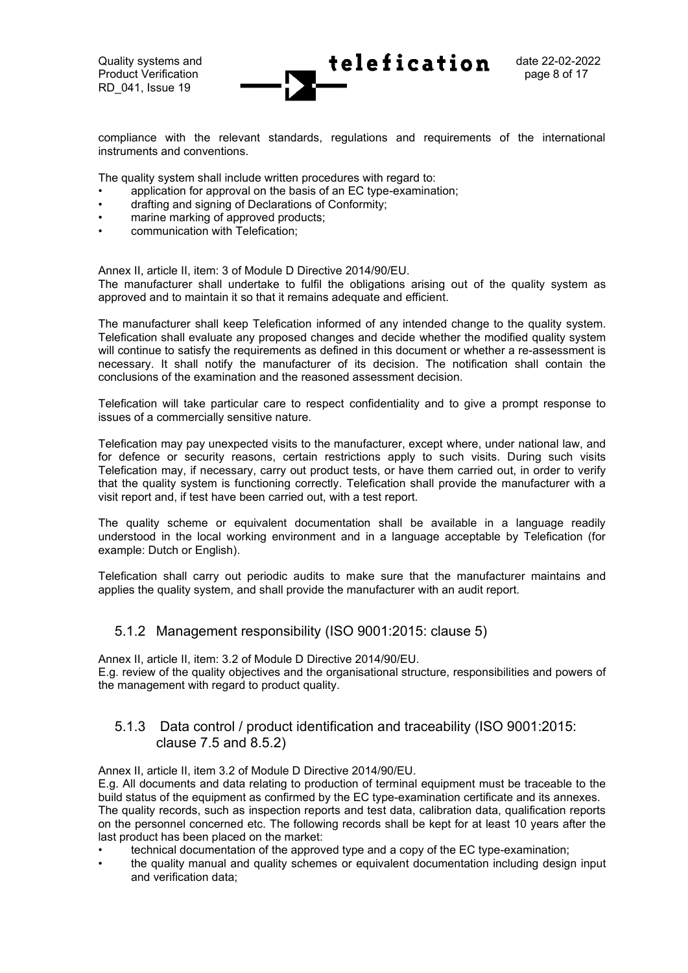compliance with the relevant standards, regulations and requirements of the international instruments and conventions.

The quality system shall include written procedures with regard to:

- application for approval on the basis of an EC type-examination;
- drafting and signing of Declarations of Conformity;
- marine marking of approved products;
- communication with Telefication;

Annex II, article II, item: 3 of Module D Directive 2014/90/EU.

The manufacturer shall undertake to fulfil the obligations arising out of the quality system as approved and to maintain it so that it remains adequate and efficient.

The manufacturer shall keep Telefication informed of any intended change to the quality system. Telefication shall evaluate any proposed changes and decide whether the modified quality system will continue to satisfy the requirements as defined in this document or whether a re-assessment is necessary. It shall notify the manufacturer of its decision. The notification shall contain the conclusions of the examination and the reasoned assessment decision.

Telefication will take particular care to respect confidentiality and to give a prompt response to issues of a commercially sensitive nature.

Telefication may pay unexpected visits to the manufacturer, except where, under national law, and for defence or security reasons, certain restrictions apply to such visits. During such visits Telefication may, if necessary, carry out product tests, or have them carried out, in order to verify that the quality system is functioning correctly. Telefication shall provide the manufacturer with a visit report and, if test have been carried out, with a test report.

The quality scheme or equivalent documentation shall be available in a language readily understood in the local working environment and in a language acceptable by Telefication (for example: Dutch or English).

Telefication shall carry out periodic audits to make sure that the manufacturer maintains and applies the quality system, and shall provide the manufacturer with an audit report.

### <span id="page-7-0"></span>5.1.2 Management responsibility (ISO 9001:2015: clause 5)

Annex II, article II, item: 3.2 of Module D Directive 2014/90/EU. E.g. review of the quality objectives and the organisational structure, responsibilities and powers of the management with regard to product quality.

### <span id="page-7-1"></span>5.1.3 Data control / product identification and traceability (ISO 9001:2015: clause 7.5 and 8.5.2)

Annex II, article II, item 3.2 of Module D Directive 2014/90/EU.

E.g. All documents and data relating to production of terminal equipment must be traceable to the build status of the equipment as confirmed by the EC type-examination certificate and its annexes. The quality records, such as inspection reports and test data, calibration data, qualification reports on the personnel concerned etc. The following records shall be kept for at least 10 years after the last product has been placed on the market:

- technical documentation of the approved type and a copy of the EC type-examination;
- the quality manual and quality schemes or equivalent documentation including design input and verification data;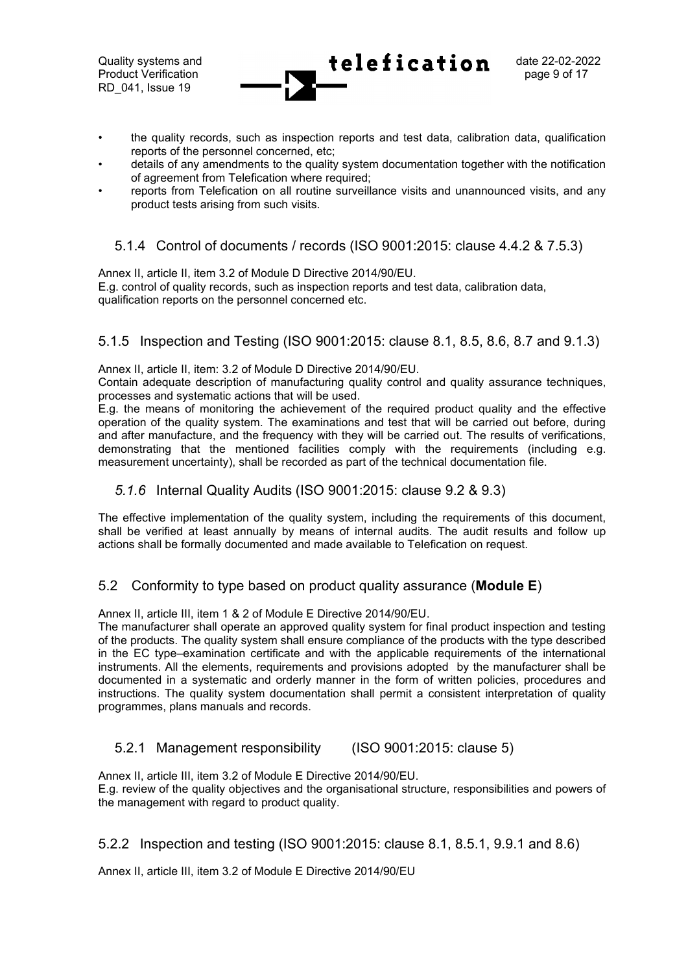Quality systems and date 22-02-2022 Product Verification **page 9 of 17 page 9 of 17 page 9 of 17** RD\_041, Issue 19

- the quality records, such as inspection reports and test data, calibration data, qualification reports of the personnel concerned, etc;
- details of any amendments to the quality system documentation together with the notification of agreement from Telefication where required;
- reports from Telefication on all routine surveillance visits and unannounced visits, and any product tests arising from such visits.

# <span id="page-8-0"></span>5.1.4 Control of documents / records (ISO 9001:2015: clause 4.4.2 & 7.5.3)

Annex II, article II, item 3.2 of Module D Directive 2014/90/EU.

E.g. control of quality records, such as inspection reports and test data, calibration data, qualification reports on the personnel concerned etc.

### <span id="page-8-1"></span>5.1.5 Inspection and Testing (ISO 9001:2015: clause 8.1, 8.5, 8.6, 8.7 and 9.1.3)

Annex II, article II, item: 3.2 of Module D Directive 2014/90/EU.

Contain adequate description of manufacturing quality control and quality assurance techniques, processes and systematic actions that will be used.

E.g. the means of monitoring the achievement of the required product quality and the effective operation of the quality system. The examinations and test that will be carried out before, during and after manufacture, and the frequency with they will be carried out. The results of verifications, demonstrating that the mentioned facilities comply with the requirements (including e.g. measurement uncertainty), shall be recorded as part of the technical documentation file.

#### <span id="page-8-2"></span>*5.1.6* Internal Quality Audits (ISO 9001:2015: clause 9.2 & 9.3)

The effective implementation of the quality system, including the requirements of this document, shall be verified at least annually by means of internal audits. The audit results and follow up actions shall be formally documented and made available to Telefication on request.

### <span id="page-8-3"></span>5.2 Conformity to type based on product quality assurance (**Module E**)

Annex II, article III, item 1 & 2 of Module E Directive 2014/90/EU.

The manufacturer shall operate an approved quality system for final product inspection and testing of the products. The quality system shall ensure compliance of the products with the type described in the EC type–examination certificate and with the applicable requirements of the international instruments. All the elements, requirements and provisions adopted by the manufacturer shall be documented in a systematic and orderly manner in the form of written policies, procedures and instructions. The quality system documentation shall permit a consistent interpretation of quality programmes, plans manuals and records.

### <span id="page-8-4"></span>5.2.1 Management responsibility (ISO 9001:2015: clause 5)

Annex II, article III, item 3.2 of Module E Directive 2014/90/EU. E.g. review of the quality objectives and the organisational structure, responsibilities and powers of the management with regard to product quality.

### <span id="page-8-5"></span>5.2.2 Inspection and testing (ISO 9001:2015: clause 8.1, 8.5.1, 9.9.1 and 8.6)

Annex II, article III, item 3.2 of Module E Directive 2014/90/EU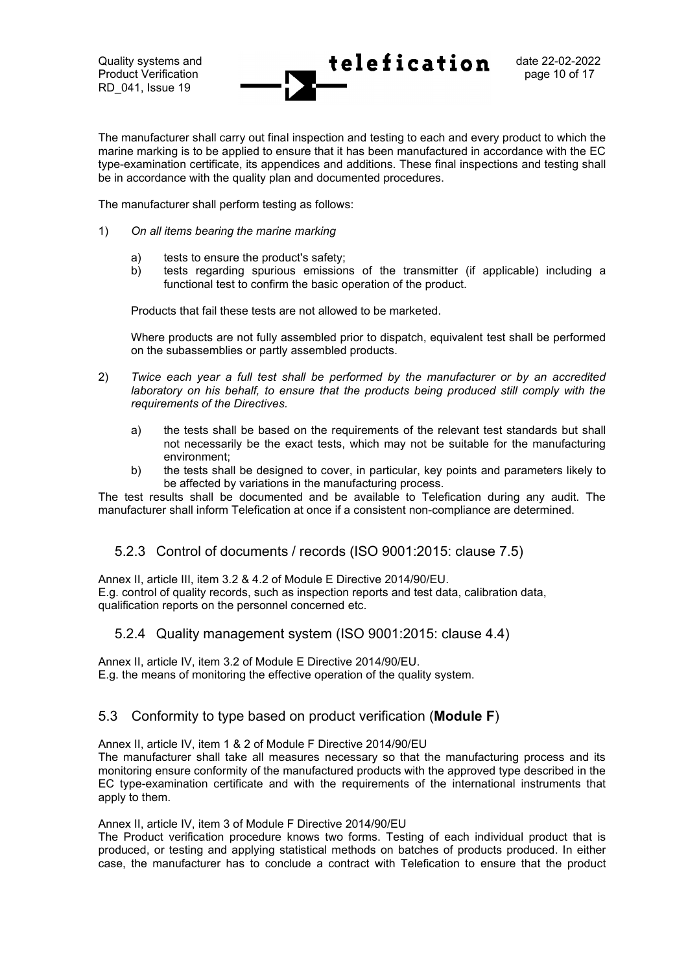Quality systems and  $\text{teleafication}$  date 22-02-2022 Product Verification **Product Verification page 10 of 17** 

The manufacturer shall carry out final inspection and testing to each and every product to which the marine marking is to be applied to ensure that it has been manufactured in accordance with the EC type-examination certificate, its appendices and additions. These final inspections and testing shall be in accordance with the quality plan and documented procedures.

The manufacturer shall perform testing as follows:

- 1) *On all items bearing the marine marking*
	- a) tests to ensure the product's safety;
	- b) tests regarding spurious emissions of the transmitter (if applicable) including a functional test to confirm the basic operation of the product.

Products that fail these tests are not allowed to be marketed.

Where products are not fully assembled prior to dispatch, equivalent test shall be performed on the subassemblies or partly assembled products.

- 2) *Twice each year a full test shall be performed by the manufacturer or by an accredited laboratory on his behalf, to ensure that the products being produced still comply with the requirements of the Directives.*
	- a) the tests shall be based on the requirements of the relevant test standards but shall not necessarily be the exact tests, which may not be suitable for the manufacturing environment;
	- b) the tests shall be designed to cover, in particular, key points and parameters likely to be affected by variations in the manufacturing process.

The test results shall be documented and be available to Telefication during any audit. The manufacturer shall inform Telefication at once if a consistent non-compliance are determined.

#### <span id="page-9-0"></span>5.2.3 Control of documents / records (ISO 9001:2015: clause 7.5)

Annex II, article III, item 3.2 & 4.2 of Module E Directive 2014/90/EU. E.g. control of quality records, such as inspection reports and test data, calibration data, qualification reports on the personnel concerned etc.

#### <span id="page-9-1"></span>5.2.4 Quality management system (ISO 9001:2015: clause 4.4)

Annex II, article IV, item 3.2 of Module E Directive 2014/90/EU. E.g. the means of monitoring the effective operation of the quality system.

### <span id="page-9-2"></span>5.3 Conformity to type based on product verification (**Module F**)

Annex II, article IV, item 1 & 2 of Module F Directive 2014/90/EU

The manufacturer shall take all measures necessary so that the manufacturing process and its monitoring ensure conformity of the manufactured products with the approved type described in the EC type-examination certificate and with the requirements of the international instruments that apply to them.

#### Annex II, article IV, item 3 of Module F Directive 2014/90/EU

The Product verification procedure knows two forms. Testing of each individual product that is produced, or testing and applying statistical methods on batches of products produced. In either case, the manufacturer has to conclude a contract with Telefication to ensure that the product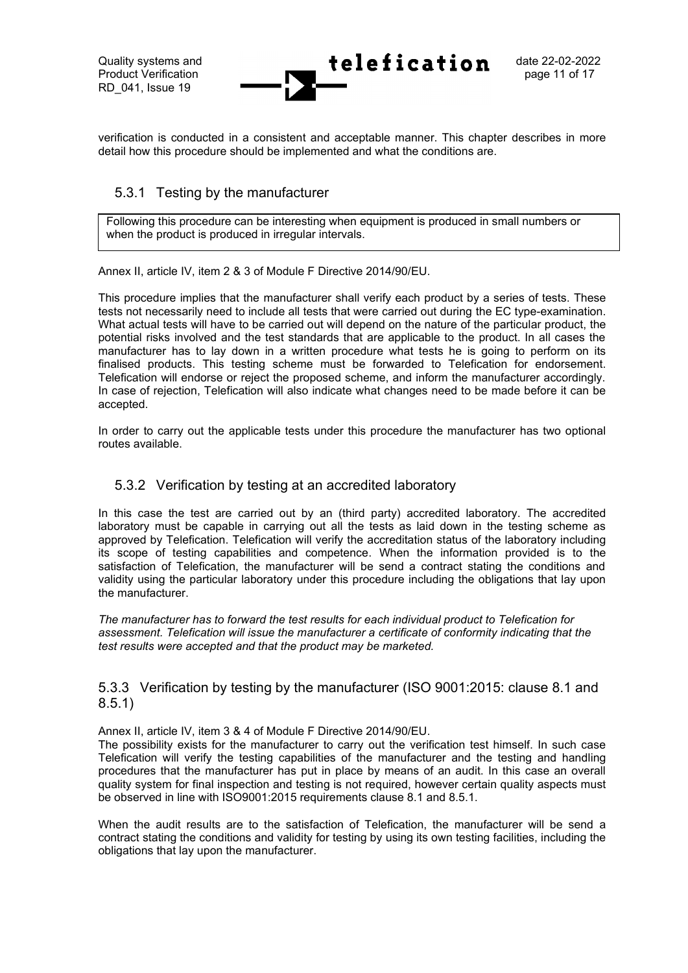verification is conducted in a consistent and acceptable manner. This chapter describes in more detail how this procedure should be implemented and what the conditions are.

### <span id="page-10-0"></span>5.3.1 Testing by the manufacturer

Following this procedure can be interesting when equipment is produced in small numbers or when the product is produced in irregular intervals.

Annex II, article IV, item 2 & 3 of Module F Directive 2014/90/EU.

This procedure implies that the manufacturer shall verify each product by a series of tests. These tests not necessarily need to include all tests that were carried out during the EC type-examination. What actual tests will have to be carried out will depend on the nature of the particular product, the potential risks involved and the test standards that are applicable to the product. In all cases the manufacturer has to lay down in a written procedure what tests he is going to perform on its finalised products. This testing scheme must be forwarded to Telefication for endorsement. Telefication will endorse or reject the proposed scheme, and inform the manufacturer accordingly. In case of rejection, Telefication will also indicate what changes need to be made before it can be accepted.

In order to carry out the applicable tests under this procedure the manufacturer has two optional routes available.

#### <span id="page-10-1"></span>5.3.2 Verification by testing at an accredited laboratory

In this case the test are carried out by an (third party) accredited laboratory. The accredited laboratory must be capable in carrying out all the tests as laid down in the testing scheme as approved by Telefication. Telefication will verify the accreditation status of the laboratory including its scope of testing capabilities and competence. When the information provided is to the satisfaction of Telefication, the manufacturer will be send a contract stating the conditions and validity using the particular laboratory under this procedure including the obligations that lay upon the manufacturer.

*The manufacturer has to forward the test results for each individual product to Telefication for assessment. Telefication will issue the manufacturer a certificate of conformity indicating that the test results were accepted and that the product may be marketed.*

#### <span id="page-10-2"></span>5.3.3 Verification by testing by the manufacturer (ISO 9001:2015: clause 8.1 and 8.5.1)

Annex II, article IV, item 3 & 4 of Module F Directive 2014/90/EU.

The possibility exists for the manufacturer to carry out the verification test himself. In such case Telefication will verify the testing capabilities of the manufacturer and the testing and handling procedures that the manufacturer has put in place by means of an audit. In this case an overall quality system for final inspection and testing is not required, however certain quality aspects must be observed in line with ISO9001:2015 requirements clause 8.1 and 8.5.1.

When the audit results are to the satisfaction of Telefication, the manufacturer will be send a contract stating the conditions and validity for testing by using its own testing facilities, including the obligations that lay upon the manufacturer.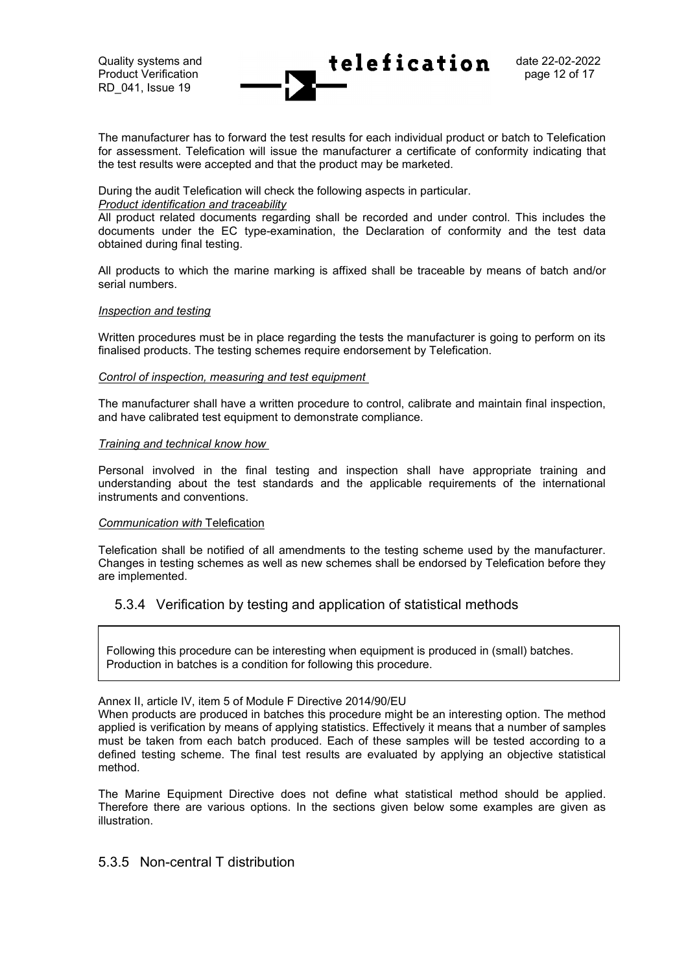The manufacturer has to forward the test results for each individual product or batch to Telefication for assessment. Telefication will issue the manufacturer a certificate of conformity indicating that the test results were accepted and that the product may be marketed.

During the audit Telefication will check the following aspects in particular.

#### *Product identification and traceability*

All product related documents regarding shall be recorded and under control. This includes the documents under the EC type-examination, the Declaration of conformity and the test data obtained during final testing.

All products to which the marine marking is affixed shall be traceable by means of batch and/or serial numbers.

#### *Inspection and testing*

Written procedures must be in place regarding the tests the manufacturer is going to perform on its finalised products. The testing schemes require endorsement by Telefication.

#### *Control of inspection, measuring and test equipment*

The manufacturer shall have a written procedure to control, calibrate and maintain final inspection, and have calibrated test equipment to demonstrate compliance.

#### *Training and technical know how*

Personal involved in the final testing and inspection shall have appropriate training and understanding about the test standards and the applicable requirements of the international instruments and conventions.

#### *Communication with* Telefication

Telefication shall be notified of all amendments to the testing scheme used by the manufacturer. Changes in testing schemes as well as new schemes shall be endorsed by Telefication before they are implemented.

### <span id="page-11-0"></span>5.3.4 Verification by testing and application of statistical methods

Following this procedure can be interesting when equipment is produced in (small) batches. Production in batches is a condition for following this procedure.

#### Annex II, article IV, item 5 of Module F Directive 2014/90/EU

When products are produced in batches this procedure might be an interesting option. The method applied is verification by means of applying statistics. Effectively it means that a number of samples must be taken from each batch produced. Each of these samples will be tested according to a defined testing scheme. The final test results are evaluated by applying an objective statistical method.

The Marine Equipment Directive does not define what statistical method should be applied. Therefore there are various options. In the sections given below some examples are given as illustration.

### <span id="page-11-1"></span>5.3.5 Non-central T distribution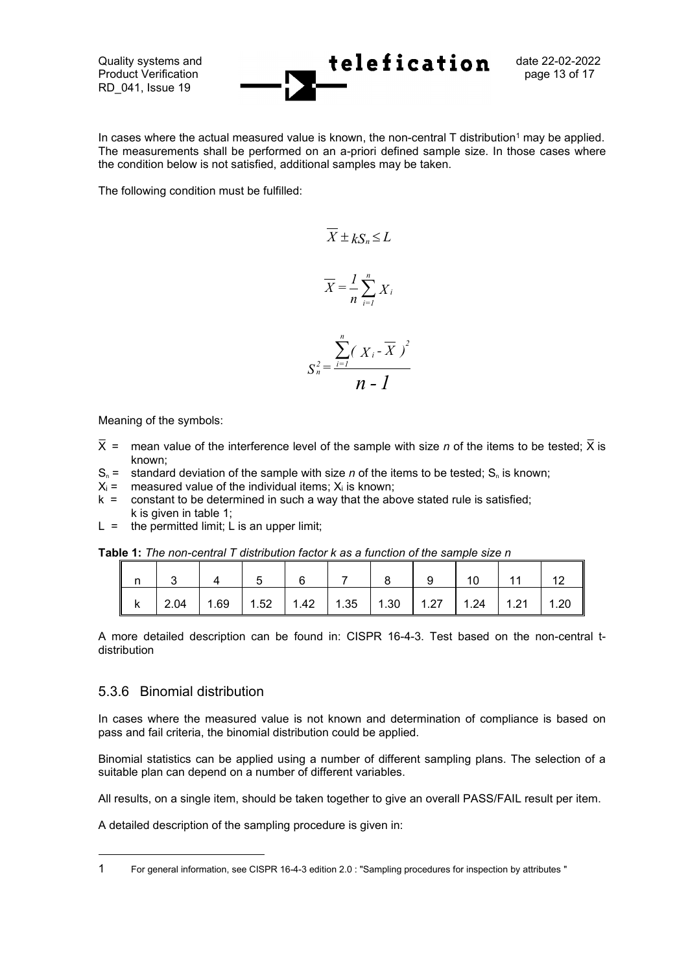Quality systems and  $\leftarrow$   $\text{telefication}$  date 22-02-2022 Product Verification **Product Verification page 13 of 17** 

In cases where the actual measured value is known, the non-central  $T$  distribution<sup>1</sup> may be applied. The measurements shall be performed on an a-priori defined sample size. In those cases where the condition below is not satisfied, additional samples may be taken.

The following condition must be fulfilled:

$$
\overline{X} \pm kS_n \le L
$$
\n
$$
\overline{X} = \frac{1}{n} \sum_{i=1}^n X_i
$$
\n
$$
S_n^2 = \frac{\sum_{i=1}^n (X_i - \overline{X})^2}{n-1}
$$

Meaning of the symbols:

- X = mean value of the interference level of the sample with size *n* of the items to be tested; X is known;
- $S_n =$  standard deviation of the sample with size *n* of the items to be tested;  $S_n$  is known;
- $X_i$  = measured value of the individual items;  $X_i$  is known;
- $k =$  constant to be determined in such a way that the above stated rule is satisfied; k is given in table 1;
- $L =$  the permitted limit; L is an upper limit;

|  | <b>Table 1:</b> The non-central T distribution factor k as a function of the sample size n |  |  |  |  |
|--|--------------------------------------------------------------------------------------------|--|--|--|--|
|--|--------------------------------------------------------------------------------------------|--|--|--|--|

| 2.04   1.69   1.52   1.42   1.35   1.30   1.27   1.24   1.21   1.20 |  |  |  |  |  |
|---------------------------------------------------------------------|--|--|--|--|--|

A more detailed description can be found in: CISPR 16-4-3. Test based on the non-central tdistribution

#### <span id="page-12-0"></span>5.3.6 Binomial distribution

In cases where the measured value is not known and determination of compliance is based on pass and fail criteria, the binomial distribution could be applied.

Binomial statistics can be applied using a number of different sampling plans. The selection of a suitable plan can depend on a number of different variables.

All results, on a single item, should be taken together to give an overall PASS/FAIL result per item.

A detailed description of the sampling procedure is given in:

<sup>1</sup> For general information, see CISPR 16-4-3 edition 2.0 : "Sampling procedures for inspection by attributes "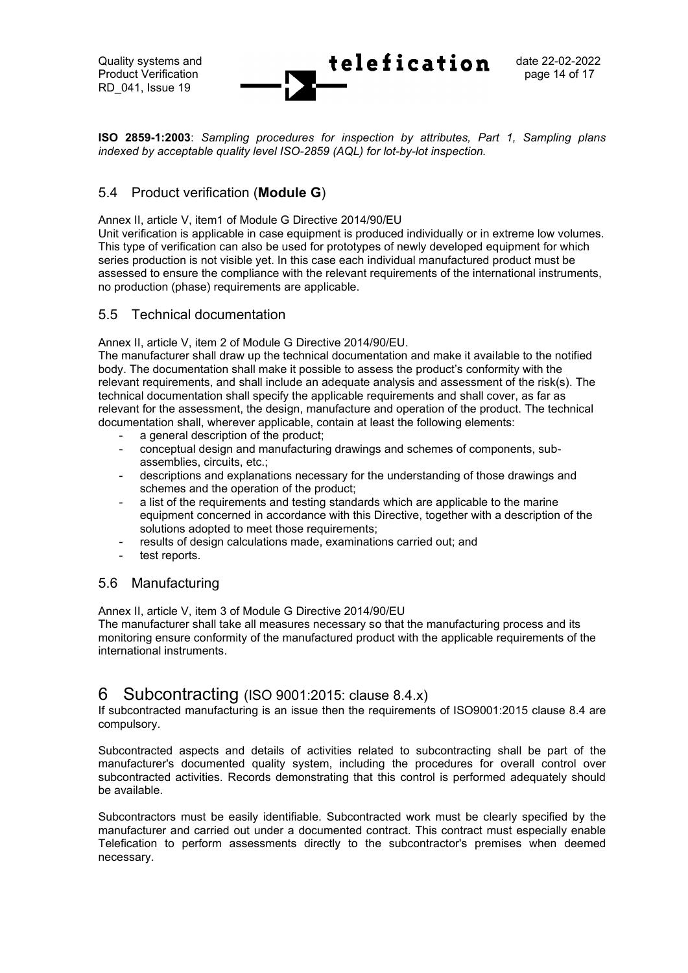Quality systems and  $\text{teleafication}$  date 22-02-2022 Product Verification **Product Verification page 14 of 17** RD\_041, Issue 19

**ISO 2859-1:2003**: *Sampling procedures for inspection by attributes, Part 1, Sampling plans indexed by acceptable quality level ISO-2859 (AQL) for lot-by-lot inspection.*

### <span id="page-13-0"></span>5.4 Product verification (**Module G**)

Annex II, article V, item1 of Module G Directive 2014/90/EU

Unit verification is applicable in case equipment is produced individually or in extreme low volumes. This type of verification can also be used for prototypes of newly developed equipment for which series production is not visible yet. In this case each individual manufactured product must be assessed to ensure the compliance with the relevant requirements of the international instruments, no production (phase) requirements are applicable.

#### <span id="page-13-1"></span>5.5 Technical documentation

Annex II, article V, item 2 of Module G Directive 2014/90/EU.

The manufacturer shall draw up the technical documentation and make it available to the notified body. The documentation shall make it possible to assess the product's conformity with the relevant requirements, and shall include an adequate analysis and assessment of the risk(s). The technical documentation shall specify the applicable requirements and shall cover, as far as relevant for the assessment, the design, manufacture and operation of the product. The technical documentation shall, wherever applicable, contain at least the following elements:

- a general description of the product;
- conceptual design and manufacturing drawings and schemes of components, subassemblies, circuits, etc.;
- descriptions and explanations necessary for the understanding of those drawings and schemes and the operation of the product;
- a list of the requirements and testing standards which are applicable to the marine equipment concerned in accordance with this Directive, together with a description of the solutions adopted to meet those requirements:
- results of design calculations made, examinations carried out; and
- test reports.

#### <span id="page-13-2"></span>5.6 Manufacturing

Annex II, article V, item 3 of Module G Directive 2014/90/EU

The manufacturer shall take all measures necessary so that the manufacturing process and its monitoring ensure conformity of the manufactured product with the applicable requirements of the international instruments.

# <span id="page-13-3"></span>6 Subcontracting (ISO 9001:2015: clause 8.4.x)

If subcontracted manufacturing is an issue then the requirements of ISO9001:2015 clause 8.4 are compulsory.

Subcontracted aspects and details of activities related to subcontracting shall be part of the manufacturer's documented quality system, including the procedures for overall control over subcontracted activities. Records demonstrating that this control is performed adequately should be available.

Subcontractors must be easily identifiable. Subcontracted work must be clearly specified by the manufacturer and carried out under a documented contract. This contract must especially enable Telefication to perform assessments directly to the subcontractor's premises when deemed necessary.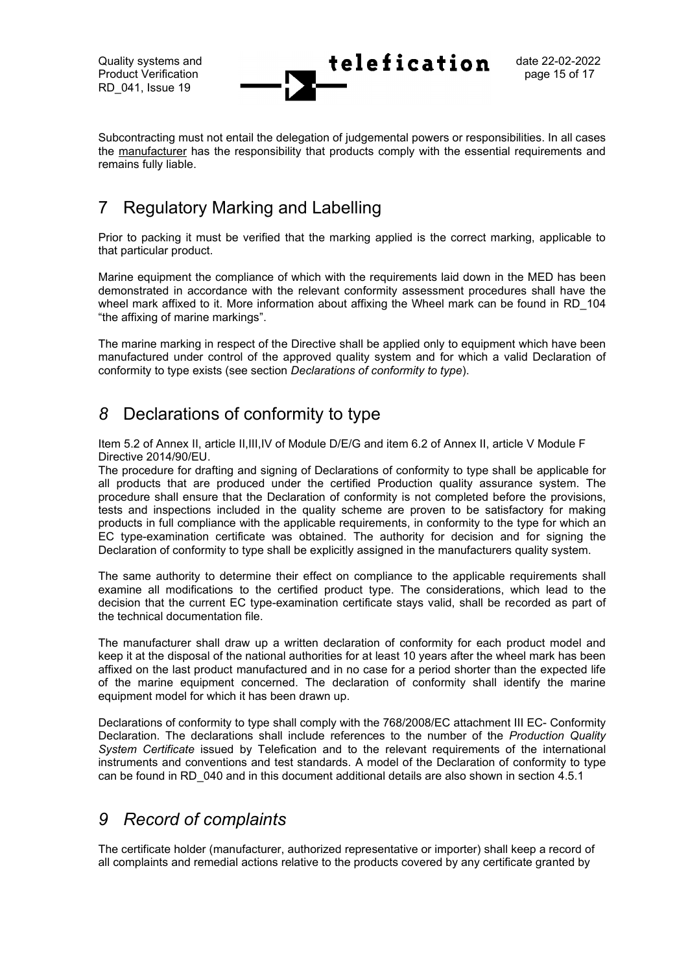Quality systems and  $\text{teleafication}$  date 22-02-2022 Product Verification **Product Product Verification** 

Subcontracting must not entail the delegation of judgemental powers or responsibilities. In all cases the manufacturer has the responsibility that products comply with the essential requirements and remains fully liable.

# <span id="page-14-0"></span>7 Regulatory Marking and Labelling

Prior to packing it must be verified that the marking applied is the correct marking, applicable to that particular product.

Marine equipment the compliance of which with the requirements laid down in the MED has been demonstrated in accordance with the relevant conformity assessment procedures shall have the wheel mark affixed to it. More information about affixing the Wheel mark can be found in RD 104 "the affixing of marine markings".

The marine marking in respect of the Directive shall be applied only to equipment which have been manufactured under control of the approved quality system and for which a valid Declaration of conformity to type exists (see section *Declarations of conformity to type*).

# <span id="page-14-1"></span>*8* Declarations of conformity to type

Item 5.2 of Annex II, article II,III,IV of Module D/E/G and item 6.2 of Annex II, article V Module F Directive 2014/90/EU.

The procedure for drafting and signing of Declarations of conformity to type shall be applicable for all products that are produced under the certified Production quality assurance system. The procedure shall ensure that the Declaration of conformity is not completed before the provisions, tests and inspections included in the quality scheme are proven to be satisfactory for making products in full compliance with the applicable requirements, in conformity to the type for which an EC type-examination certificate was obtained. The authority for decision and for signing the Declaration of conformity to type shall be explicitly assigned in the manufacturers quality system.

The same authority to determine their effect on compliance to the applicable requirements shall examine all modifications to the certified product type. The considerations, which lead to the decision that the current EC type-examination certificate stays valid, shall be recorded as part of the technical documentation file.

The manufacturer shall draw up a written declaration of conformity for each product model and keep it at the disposal of the national authorities for at least 10 years after the wheel mark has been affixed on the last product manufactured and in no case for a period shorter than the expected life of the marine equipment concerned. The declaration of conformity shall identify the marine equipment model for which it has been drawn up.

Declarations of conformity to type shall comply with the 768/2008/EC attachment III EC- Conformity Declaration. The declarations shall include references to the number of the *Production Quality System Certificate* issued by Telefication and to the relevant requirements of the international instruments and conventions and test standards. A model of the Declaration of conformity to type can be found in RD\_040 and in this document additional details are also shown in section 4.5.1

# <span id="page-14-2"></span>*9 Record of complaints*

The certificate holder (manufacturer, authorized representative or importer) shall keep a record of all complaints and remedial actions relative to the products covered by any certificate granted by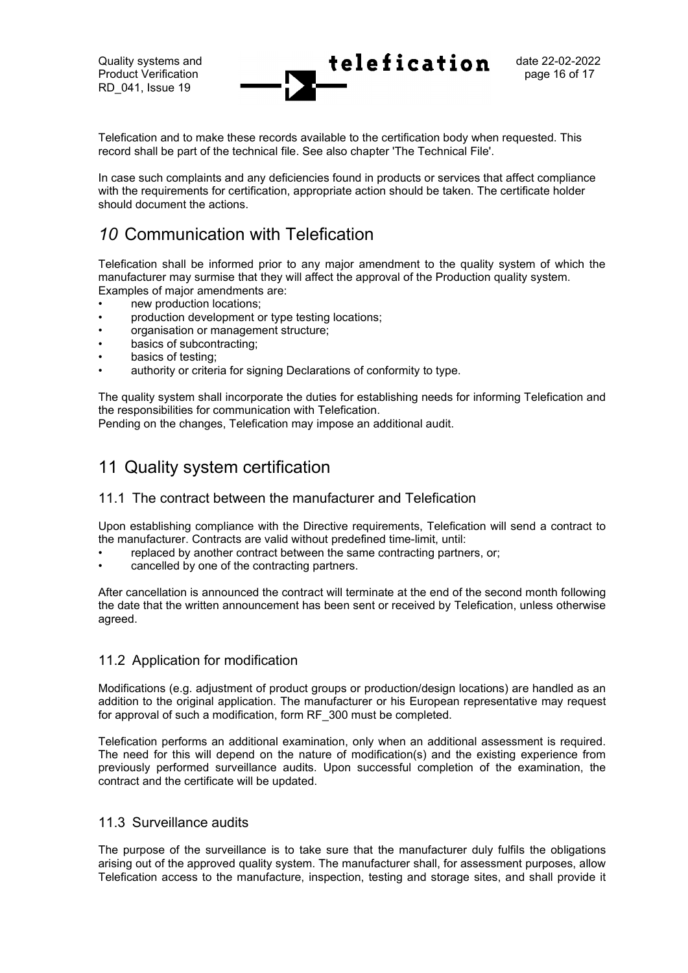Quality systems and  $\text{teleafication}$  date 22-02-2022 Product Verification **Product Verification page 16 of 17** RD\_041, Issue 19

Telefication and to make these records available to the certification body when requested. This record shall be part of the technical file. See also chapter 'The Technical File'.

In case such complaints and any deficiencies found in products or services that affect compliance with the requirements for certification, appropriate action should be taken. The certificate holder should document the actions.

# <span id="page-15-0"></span>*10* Communication with Telefication

Telefication shall be informed prior to any major amendment to the quality system of which the manufacturer may surmise that they will affect the approval of the Production quality system. Examples of major amendments are:

- new production locations;
- production development or type testing locations;
- organisation or management structure;
- basics of subcontracting:
- basics of testing:
- authority or criteria for signing Declarations of conformity to type.

The quality system shall incorporate the duties for establishing needs for informing Telefication and the responsibilities for communication with Telefication.

Pending on the changes, Telefication may impose an additional audit.

# <span id="page-15-1"></span>11 Quality system certification

### <span id="page-15-2"></span>11.1 The contract between the manufacturer and Telefication

Upon establishing compliance with the Directive requirements, Telefication will send a contract to the manufacturer. Contracts are valid without predefined time-limit, until:

- replaced by another contract between the same contracting partners, or;
- cancelled by one of the contracting partners.

After cancellation is announced the contract will terminate at the end of the second month following the date that the written announcement has been sent or received by Telefication, unless otherwise agreed.

#### <span id="page-15-3"></span>11.2 Application for modification

Modifications (e.g. adjustment of product groups or production/design locations) are handled as an addition to the original application. The manufacturer or his European representative may request for approval of such a modification, form RF\_300 must be completed.

Telefication performs an additional examination, only when an additional assessment is required. The need for this will depend on the nature of modification(s) and the existing experience from previously performed surveillance audits. Upon successful completion of the examination, the contract and the certificate will be updated.

#### <span id="page-15-4"></span>11.3 Surveillance audits

The purpose of the surveillance is to take sure that the manufacturer duly fulfils the obligations arising out of the approved quality system. The manufacturer shall, for assessment purposes, allow Telefication access to the manufacture, inspection, testing and storage sites, and shall provide it